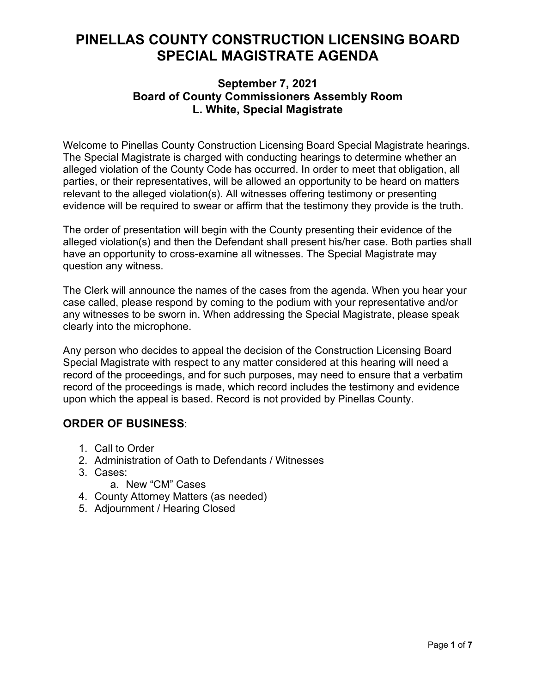# **PINELLAS COUNTY CONSTRUCTION LICENSING BOARD SPECIAL MAGISTRATE AGENDA**

### **September 7, 2021 Board of County Commissioners Assembly Room L. White, Special Magistrate**

Welcome to Pinellas County Construction Licensing Board Special Magistrate hearings. The Special Magistrate is charged with conducting hearings to determine whether an alleged violation of the County Code has occurred. In order to meet that obligation, all parties, or their representatives, will be allowed an opportunity to be heard on matters relevant to the alleged violation(s). All witnesses offering testimony or presenting evidence will be required to swear or affirm that the testimony they provide is the truth.

The order of presentation will begin with the County presenting their evidence of the alleged violation(s) and then the Defendant shall present his/her case. Both parties shall have an opportunity to cross-examine all witnesses. The Special Magistrate may question any witness.

The Clerk will announce the names of the cases from the agenda. When you hear your case called, please respond by coming to the podium with your representative and/or any witnesses to be sworn in. When addressing the Special Magistrate, please speak clearly into the microphone.

Any person who decides to appeal the decision of the Construction Licensing Board Special Magistrate with respect to any matter considered at this hearing will need a record of the proceedings, and for such purposes, may need to ensure that a verbatim record of the proceedings is made, which record includes the testimony and evidence upon which the appeal is based. Record is not provided by Pinellas County.

## **ORDER OF BUSINESS**:

- 1. Call to Order
- 2. Administration of Oath to Defendants / Witnesses
- 3. Cases:
	- a. New "CM" Cases
- 4. County Attorney Matters (as needed)
- 5. Adjournment / Hearing Closed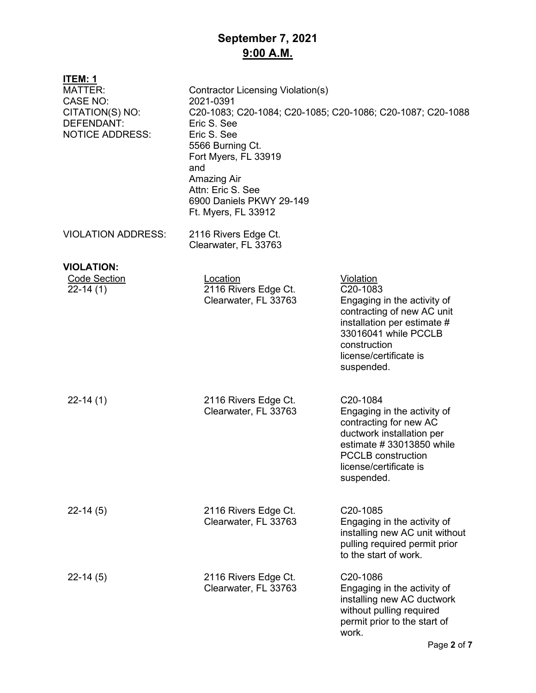# **September 7, 2021 9:00 A.M.**

| <u>ITEM: 1</u><br><b>MATTER:</b><br><b>CASE NO:</b><br>CITATION(S) NO:<br>DEFENDANT:<br><b>NOTICE ADDRESS:</b> | <b>Contractor Licensing Violation(s)</b><br>2021-0391<br>Eric S. See<br>Eric S. See<br>5566 Burning Ct.<br>Fort Myers, FL 33919<br>and<br>Amazing Air<br>Attn: Eric S. See<br>6900 Daniels PKWY 29-149<br>Ft. Myers, FL 33912 | C20-1083; C20-1084; C20-1085; C20-1086; C20-1087; C20-1088                                                                                                                                        |
|----------------------------------------------------------------------------------------------------------------|-------------------------------------------------------------------------------------------------------------------------------------------------------------------------------------------------------------------------------|---------------------------------------------------------------------------------------------------------------------------------------------------------------------------------------------------|
| <b>VIOLATION ADDRESS:</b>                                                                                      | 2116 Rivers Edge Ct.<br>Clearwater, FL 33763                                                                                                                                                                                  |                                                                                                                                                                                                   |
| <b>VIOLATION:</b>                                                                                              |                                                                                                                                                                                                                               |                                                                                                                                                                                                   |
| <b>Code Section</b><br>$22-14(1)$                                                                              | Location<br>2116 Rivers Edge Ct.<br>Clearwater, FL 33763                                                                                                                                                                      | Violation<br>C20-1083<br>Engaging in the activity of<br>contracting of new AC unit<br>installation per estimate #<br>33016041 while PCCLB<br>construction<br>license/certificate is<br>suspended. |
| $22-14(1)$                                                                                                     | 2116 Rivers Edge Ct.<br>Clearwater, FL 33763                                                                                                                                                                                  | C20-1084<br>Engaging in the activity of<br>contracting for new AC<br>ductwork installation per<br>estimate #33013850 while<br><b>PCCLB</b> construction<br>license/certificate is<br>suspended.   |
| $22-14(5)$                                                                                                     | 2116 Rivers Edge Ct.<br>Clearwater, FL 33763                                                                                                                                                                                  | C20-1085<br>Engaging in the activity of<br>installing new AC unit without<br>pulling required permit prior<br>to the start of work.                                                               |
| $22 - 14(5)$                                                                                                   | 2116 Rivers Edge Ct.<br>Clearwater, FL 33763                                                                                                                                                                                  | C20-1086<br>Engaging in the activity of<br>installing new AC ductwork<br>without pulling required<br>permit prior to the start of<br>work.                                                        |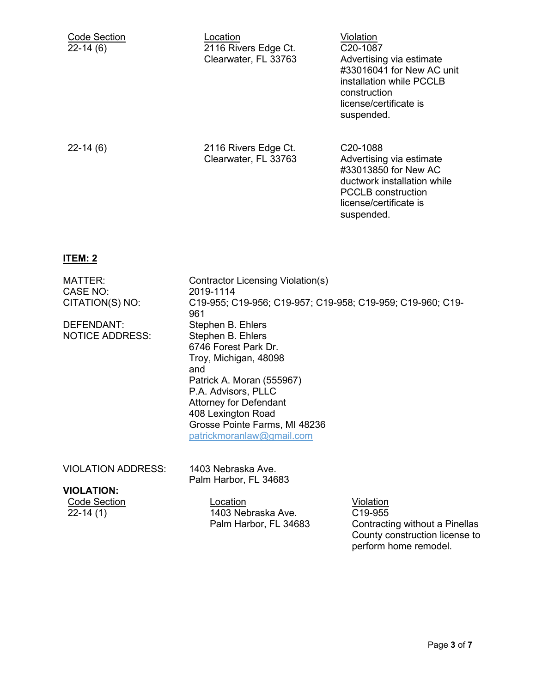| <b>Code Section</b><br>$22-14(6)$ | Location<br>2116 Rivers Edge Ct.<br>Clearwater, FL 33763 | Violation<br>C <sub>20</sub> -1087<br>Advertising via estimate<br>#33016041 for New AC unit<br>installation while PCCLB<br>construction<br>license/certificate is<br>suspended. |
|-----------------------------------|----------------------------------------------------------|---------------------------------------------------------------------------------------------------------------------------------------------------------------------------------|
| $22-14(6)$                        | 2116 Rivers Edge Ct.<br>Clearwater, FL 33763             | C <sub>20</sub> -1088<br>Advertising via estimate<br>#33013850 for New AC<br>ductwork installation while<br><b>PCCLB</b> construction<br>license/certificate is<br>suspended.   |

#### **ITEM: 2**

MATTER: Contractor Licensing Violation(s) CASE NO: 2019-1114 CITATION(S) NO: C19-955; C19-956; C19-957; C19-958; C19-959; C19-960; C19- 961 DEFENDANT: Stephen B. Ehlers NOTICE ADDRESS: Stephen B. Ehlers 6746 Forest Park Dr. Troy, Michigan, 48098 and Patrick A. Moran (555967) P.A. Advisors, PLLC Attorney for Defendant 408 Lexington Road Grosse Pointe Farms, MI 48236 patrickmoranlaw@gmail.com

VIOLATION ADDRESS: 1403 Nebraska Ave. Palm Harbor, FL 34683

### **VIOLATION:**

Code Section Location Violation 1403 Nebraska Ave. Palm Harbor, FL 34683

C19-955 Contracting without a Pinellas County construction license to perform home remodel.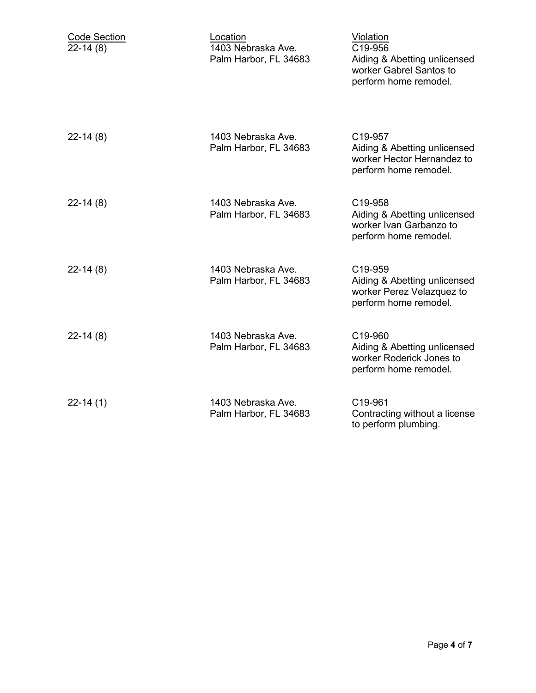| <b>Code Section</b><br>$22-14(8)$ | Location<br>1403 Nebraska Ave.<br>Palm Harbor, FL 34683 | Violation<br>C19-956<br>Aiding & Abetting unlicensed<br>worker Gabrel Santos to<br>perform home remodel. |
|-----------------------------------|---------------------------------------------------------|----------------------------------------------------------------------------------------------------------|
| $22-14(8)$                        | 1403 Nebraska Ave.<br>Palm Harbor, FL 34683             | C19-957<br>Aiding & Abetting unlicensed<br>worker Hector Hernandez to<br>perform home remodel.           |
| $22-14(8)$                        | 1403 Nebraska Ave.<br>Palm Harbor, FL 34683             | C19-958<br>Aiding & Abetting unlicensed<br>worker Ivan Garbanzo to<br>perform home remodel.              |
| $22-14(8)$                        | 1403 Nebraska Ave.<br>Palm Harbor, FL 34683             | C19-959<br>Aiding & Abetting unlicensed<br>worker Perez Velazquez to<br>perform home remodel.            |
| $22-14(8)$                        | 1403 Nebraska Ave.<br>Palm Harbor, FL 34683             | C19-960<br>Aiding & Abetting unlicensed<br>worker Roderick Jones to<br>perform home remodel.             |
| $22-14(1)$                        | 1403 Nebraska Ave.<br>Palm Harbor, FL 34683             | C19-961<br>Contracting without a license<br>to perform plumbing.                                         |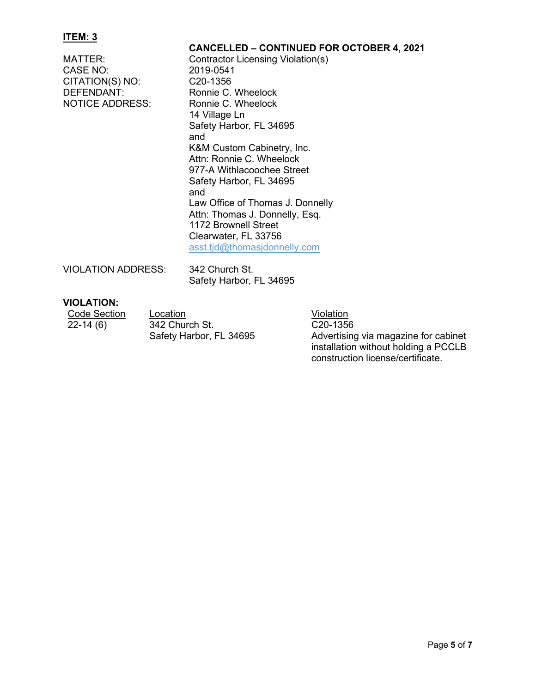#### **ITEM: 3**

**CANCELLED – CONTINUED FOR OCTOBER 4, 2021** MATTER: Contractor Licensing Violation(s)<br>CASE NO: 2019-0541 CASE NO: CITATION(S) NO: C20-1356 DEFENDANT: Ronnie C. Wheelock<br>
NOTICE ADDRESS: Ronnie C. Wheelock Ronnie C. Wheelock 14 Village Ln Safety Harbor, FL 34695 and K&M Custom Cabinetry, Inc. Attn: Ronnie C. Wheelock 977-A Withlacoochee Street Safety Harbor, FL 34695 and Law Office of Thomas J. Donnelly Attn: Thomas J. Donnelly, Esq. 1172 Brownell Street Clearwater, FL 33756 asst.tjd@thomasjdonnelly.com VIOLATION ADDRESS: 342 Church St. Safety Harbor, FL 34695

### **VIOLATION:**

Code Section Location<br>
22-14 (6) 342 Church St. C20-1356  $342$  Church St. Safety Harbor, FL 34695

C20-1356 Advertising via magazine for cabinet installation without holding a PCCLB construction license/certificate.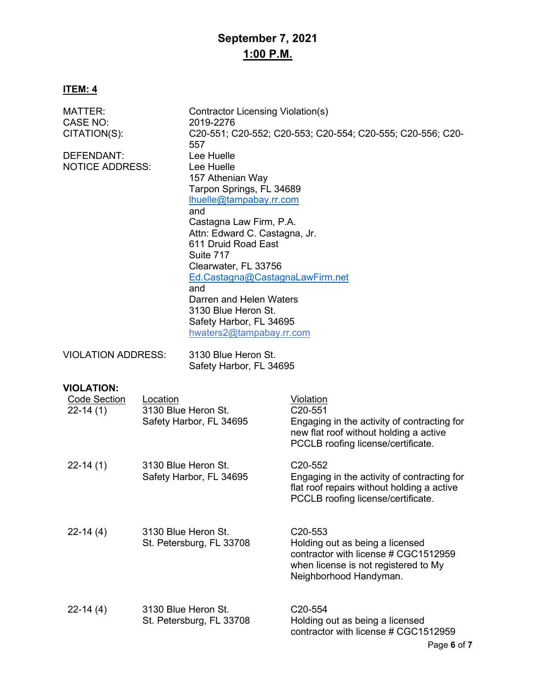# **September 7, 2021 1:00 P.M.**

## **ITEM: 4**

| <b>MATTER:</b><br><b>CASE NO:</b><br>CITATION(S):        |                                                | Contractor Licensing Violation(s)<br>2019-2276                                                                                                                                                                                                                                                                                                                                               | C20-551; C20-552; C20-553; C20-554; C20-555; C20-556; C20-                                                                                                              |
|----------------------------------------------------------|------------------------------------------------|----------------------------------------------------------------------------------------------------------------------------------------------------------------------------------------------------------------------------------------------------------------------------------------------------------------------------------------------------------------------------------------------|-------------------------------------------------------------------------------------------------------------------------------------------------------------------------|
| DEFENDANT:<br><b>NOTICE ADDRESS:</b>                     |                                                | 557<br>Lee Huelle<br>Lee Huelle<br>157 Athenian Way<br>Tarpon Springs, FL 34689<br>Ihuelle@tampabay.rr.com<br>and<br>Castagna Law Firm, P.A.<br>Attn: Edward C. Castagna, Jr.<br>611 Druid Road East<br>Suite 717<br>Clearwater, FL 33756<br>Ed.Castagna@CastagnaLawFirm.net<br>and<br>Darren and Helen Waters<br>3130 Blue Heron St.<br>Safety Harbor, FL 34695<br>hwaters2@tampabay.rr.com |                                                                                                                                                                         |
| <b>VIOLATION ADDRESS:</b>                                |                                                | 3130 Blue Heron St.<br>Safety Harbor, FL 34695                                                                                                                                                                                                                                                                                                                                               |                                                                                                                                                                         |
| <b>VIOLATION:</b><br><b>Code Section</b><br>$22 - 14(1)$ | Location<br>3130 Blue Heron St.                | Safety Harbor, FL 34695                                                                                                                                                                                                                                                                                                                                                                      | <b>Violation</b><br>C <sub>20</sub> -551<br>Engaging in the activity of contracting for<br>new flat roof without holding a active<br>PCCLB roofing license/certificate. |
| $22 - 14(1)$                                             | 3130 Blue Heron St.<br>Safety Harbor, FL 34695 |                                                                                                                                                                                                                                                                                                                                                                                              | C <sub>20</sub> -552<br>Engaging in the activity of contracting for<br>flat roof repairs without holding a active<br>PCCLB roofing license/certificate.                 |
| $22-14(4)$                                               | 3130 Blue Heron St.                            | St. Petersburg, FL 33708                                                                                                                                                                                                                                                                                                                                                                     | C <sub>20</sub> -553<br>Holding out as being a licensed<br>contractor with license # CGC1512959<br>when license is not registered to My<br>Neighborhood Handyman.       |
| $22 - 14(4)$                                             | 3130 Blue Heron St.                            | St. Petersburg, FL 33708                                                                                                                                                                                                                                                                                                                                                                     | C <sub>20</sub> -554<br>Holding out as being a licensed<br>contractor with license # CGC1512959                                                                         |